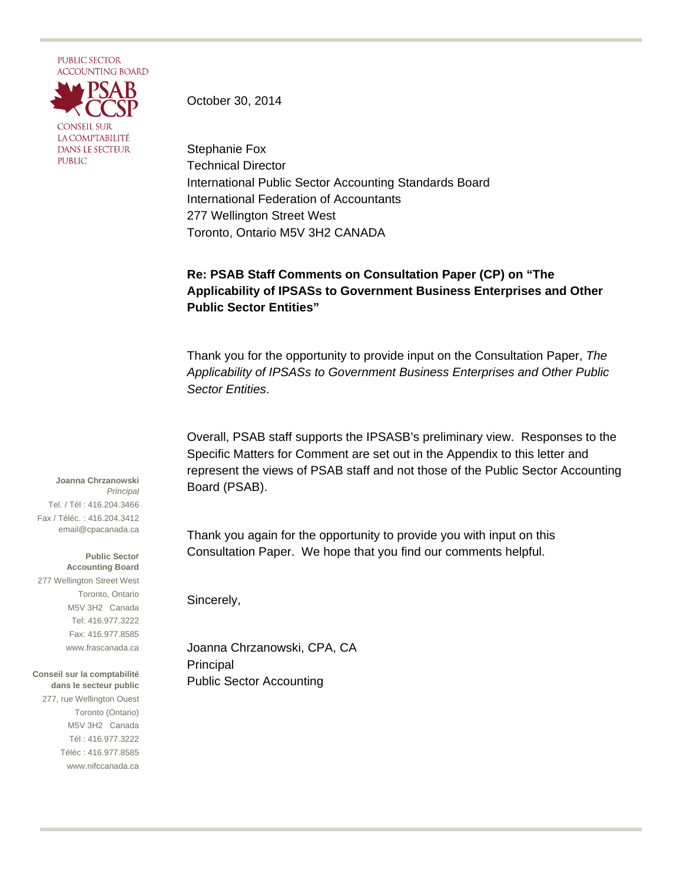

October 30, 2014

Stephanie Fox Technical Director International Public Sector Accounting Standards Board International Federation of Accountants 277 Wellington Street West Toronto, Ontario M5V 3H2 CANADA

## **Re: PSAB Staff Comments on Consultation Paper (CP) on "The Applicability of IPSASs to Government Business Enterprises and Other Public Sector Entities"**

Thank you for the opportunity to provide input on the Consultation Paper, *The Applicability of IPSASs to Government Business Enterprises and Other Public Sector Entities*.

Overall, PSAB staff supports the IPSASB's preliminary view. Responses to the Specific Matters for Comment are set out in the Appendix to this letter and represent the views of PSAB staff and not those of the Public Sector Accounting Board (PSAB).

Thank you again for the opportunity to provide you with input on this Consultation Paper. We hope that you find our comments helpful.

Sincerely,

Joanna Chrzanowski, CPA, CA Principal Public Sector Accounting

**Joanna Chrzanowski** *Principal* Tel. / Tél : 416.204.3466 Fax / Téléc. : 416.204.3412 email@cpacanada.ca

**Public Sector Accounting Board** 277 Wellington Street West Toronto, Ontario M5V 3H2 Canada Tel: 416.977.3222 Fax: 416.977.8585 www.frascanada.ca

**Conseil sur la comptabilité dans le secteur public** 277, rue Wellington Ouest Toronto (Ontario) M5V 3H2 Canada Tél : 416.977.3222 Téléc : 416.977.8585 www.nifccanada.ca